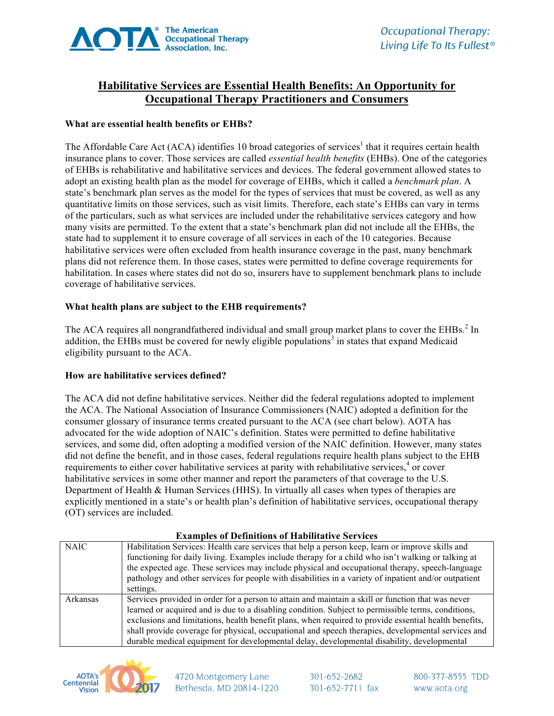

# **Habilitative Services are Essential Health Benefits: An Opportunity for Occupational Therapy Practitioners and Consumers**

### **What are essential health benefits or EHBs?**

The Affordable Care Act (ACA) identifies 10 broad categories of services<sup>1</sup> that it requires certain health insurance plans to cover. Those services are called *essential health benefits* (EHBs). One of the categories of EHBs is rehabilitative and habilitative services and devices. The federal government allowed states to adopt an existing health plan as the model for coverage of EHBs, which it called a *benchmark plan*. A state's benchmark plan serves as the model for the types of services that must be covered, as well as any quantitative limits on those services, such as visit limits. Therefore, each state's EHBs can vary in terms of the particulars, such as what services are included under the rehabilitative services category and how many visits are permitted. To the extent that a state's benchmark plan did not include all the EHBs, the state had to supplement it to ensure coverage of all services in each of the 10 categories. Because habilitative services were often excluded from health insurance coverage in the past, many benchmark plans did not reference them. In those cases, states were permitted to define coverage requirements for habilitation. In cases where states did not do so, insurers have to supplement benchmark plans to include coverage of habilitative services.

#### **What health plans are subject to the EHB requirements?**

The ACA requires all nongrandfathered individual and small group market plans to cover the EHBs.<sup>2</sup> In addition, the EHBs must be covered for newly eligible populations<sup>3</sup> in states that expand Medicaid eligibility pursuant to the ACA.

#### **How are habilitative services defined?**

The ACA did not define habilitative services. Neither did the federal regulations adopted to implement the ACA. The National Association of Insurance Commissioners (NAIC) adopted a definition for the consumer glossary of insurance terms created pursuant to the ACA (see chart below). AOTA has advocated for the wide adoption of NAIC's definition. States were permitted to define habilitative services, and some did, often adopting a modified version of the NAIC definition. However, many states did not define the benefit, and in those cases, federal regulations require health plans subject to the EHB requirements to either cover habilitative services at parity with rehabilitative services,<sup>4</sup> or cover habilitative services in some other manner and report the parameters of that coverage to the U.S. Department of Health & Human Services (HHS). In virtually all cases when types of therapies are explicitly mentioned in a state's or health plan's definition of habilitative services, occupational therapy (OT) services are included.

#### **Examples of Definitions of Habilitative Services**

| <b>NAIC</b> | Habilitation Services: Health care services that help a person keep, learn or improve skills and<br>functioning for daily living. Examples include therapy for a child who isn't walking or talking at<br>the expected age. These services may include physical and occupational therapy, speech-language<br>pathology and other services for people with disabilities in a variety of inpatient and/or outpatient<br>settings.                                                                                      |
|-------------|----------------------------------------------------------------------------------------------------------------------------------------------------------------------------------------------------------------------------------------------------------------------------------------------------------------------------------------------------------------------------------------------------------------------------------------------------------------------------------------------------------------------|
| Arkansas    | Services provided in order for a person to attain and maintain a skill or function that was never<br>learned or acquired and is due to a disabling condition. Subject to permissible terms, conditions,<br>exclusions and limitations, health benefit plans, when required to provide essential health benefits,<br>shall provide coverage for physical, occupational and speech therapies, developmental services and<br>durable medical equipment for developmental delay, developmental disability, developmental |



4720 Montgomery Lane Bethesda, MD 20814-1220 301-652-2682 301-652-7711 fax 800-377-8555 TDD www.aota.org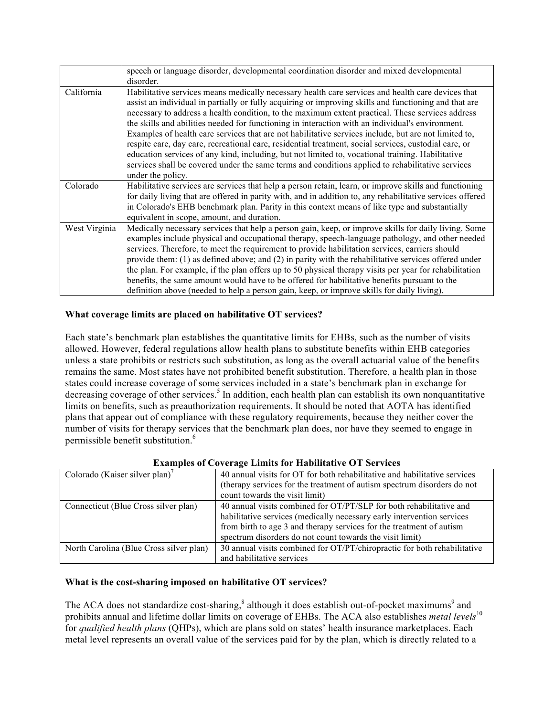|               | speech or language disorder, developmental coordination disorder and mixed developmental<br>disorder.                                                                                                                                                                                                                                                                                                                                                                                                                                                                                                                                                                                                                                                                                                                                                            |
|---------------|------------------------------------------------------------------------------------------------------------------------------------------------------------------------------------------------------------------------------------------------------------------------------------------------------------------------------------------------------------------------------------------------------------------------------------------------------------------------------------------------------------------------------------------------------------------------------------------------------------------------------------------------------------------------------------------------------------------------------------------------------------------------------------------------------------------------------------------------------------------|
| California    | Habilitative services means medically necessary health care services and health care devices that<br>assist an individual in partially or fully acquiring or improving skills and functioning and that are<br>necessary to address a health condition, to the maximum extent practical. These services address<br>the skills and abilities needed for functioning in interaction with an individual's environment.<br>Examples of health care services that are not habilitative services include, but are not limited to,<br>respite care, day care, recreational care, residential treatment, social services, custodial care, or<br>education services of any kind, including, but not limited to, vocational training. Habilitative<br>services shall be covered under the same terms and conditions applied to rehabilitative services<br>under the policy. |
| Colorado      | Habilitative services are services that help a person retain, learn, or improve skills and functioning<br>for daily living that are offered in parity with, and in addition to, any rehabilitative services offered<br>in Colorado's EHB benchmark plan. Parity in this context means of like type and substantially<br>equivalent in scope, amount, and duration.                                                                                                                                                                                                                                                                                                                                                                                                                                                                                               |
| West Virginia | Medically necessary services that help a person gain, keep, or improve skills for daily living. Some<br>examples include physical and occupational therapy, speech-language pathology, and other needed<br>services. Therefore, to meet the requirement to provide habilitation services, carriers should<br>provide them: $(1)$ as defined above; and $(2)$ in parity with the rehabilitative services offered under<br>the plan. For example, if the plan offers up to 50 physical therapy visits per year for rehabilitation<br>benefits, the same amount would have to be offered for habilitative benefits pursuant to the<br>definition above (needed to help a person gain, keep, or improve skills for daily living).                                                                                                                                    |

## **What coverage limits are placed on habilitative OT services?**

Each state's benchmark plan establishes the quantitative limits for EHBs, such as the number of visits allowed. However, federal regulations allow health plans to substitute benefits within EHB categories unless a state prohibits or restricts such substitution, as long as the overall actuarial value of the benefits remains the same. Most states have not prohibited benefit substitution. Therefore, a health plan in those states could increase coverage of some services included in a state's benchmark plan in exchange for decreasing coverage of other services.<sup>5</sup> In addition, each health plan can establish its own nonquantitative limits on benefits, such as preauthorization requirements. It should be noted that AOTA has identified plans that appear out of compliance with these regulatory requirements, because they neither cover the number of visits for therapy services that the benchmark plan does, nor have they seemed to engage in permissible benefit substitution.<sup>6</sup>

| <b>EXAMPLES OF COVELAGE LIMINS TOF HADIMALIVE OF SET VICES</b> |                                                                           |  |  |
|----------------------------------------------------------------|---------------------------------------------------------------------------|--|--|
| Colorado (Kaiser silver plan)'                                 | 40 annual visits for OT for both rehabilitative and habilitative services |  |  |
|                                                                | (therapy services for the treatment of autism spectrum disorders do not   |  |  |
|                                                                | count towards the visit limit)                                            |  |  |
| Connecticut (Blue Cross silver plan)                           | 40 annual visits combined for OT/PT/SLP for both rehabilitative and       |  |  |
|                                                                | habilitative services (medically necessary early intervention services    |  |  |
|                                                                | from birth to age 3 and therapy services for the treatment of autism      |  |  |
|                                                                | spectrum disorders do not count towards the visit limit)                  |  |  |
| North Carolina (Blue Cross silver plan)                        | 30 annual visits combined for OT/PT/chiropractic for both rehabilitative  |  |  |
|                                                                | and habilitative services                                                 |  |  |

## **Examples of Coverage Limits for Habilitative OT Services**

#### **What is the cost-sharing imposed on habilitative OT services?**

The ACA does not standardize cost-sharing, $^8$  although it does establish out-of-pocket maximums<sup>9</sup> and prohibits annual and lifetime dollar limits on coverage of EHBs. The ACA also establishes *metal levels*<sup>10</sup> for *qualified health plans* (QHPs), which are plans sold on states' health insurance marketplaces. Each metal level represents an overall value of the services paid for by the plan, which is directly related to a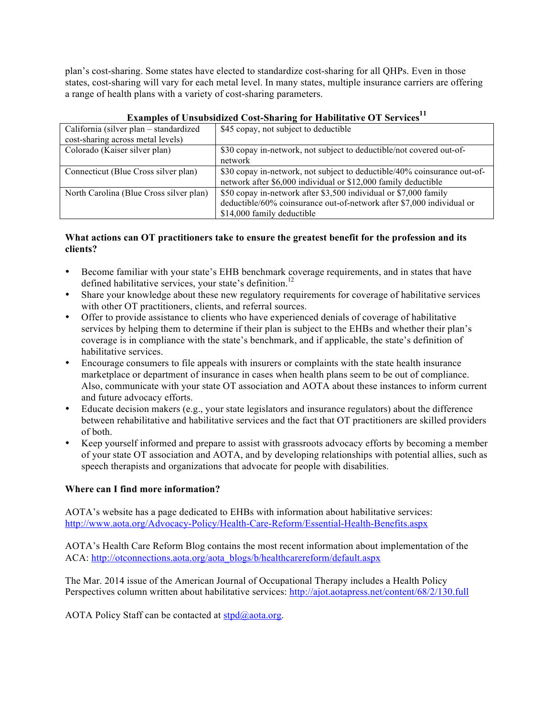plan's cost-sharing. Some states have elected to standardize cost-sharing for all QHPs. Even in those states, cost-sharing will vary for each metal level. In many states, multiple insurance carriers are offering a range of health plans with a variety of cost-sharing parameters.

| California (silver plan – standardized  | \$45 copay, not subject to deductible                                    |
|-----------------------------------------|--------------------------------------------------------------------------|
| cost-sharing across metal levels)       |                                                                          |
| Colorado (Kaiser silver plan)           | \$30 copay in-network, not subject to deductible/not covered out-of-     |
|                                         | network                                                                  |
| Connecticut (Blue Cross silver plan)    | \$30 copay in-network, not subject to deductible/40% coinsurance out-of- |
|                                         | network after \$6,000 individual or \$12,000 family deductible           |
| North Carolina (Blue Cross silver plan) | \$50 copay in-network after \$3,500 individual or \$7,000 family         |
|                                         | deductible/60% coinsurance out-of-network after \$7,000 individual or    |
|                                         | \$14,000 family deductible                                               |

# **Examples of Unsubsidized Cost-Sharing for Habilitative OT Services**<sup>11</sup>

### **What actions can OT practitioners take to ensure the greatest benefit for the profession and its clients?**

- Become familiar with your state's EHB benchmark coverage requirements, and in states that have defined habilitative services, your state's definition.<sup>12</sup>
- Share your knowledge about these new regulatory requirements for coverage of habilitative services with other OT practitioners, clients, and referral sources.
- Offer to provide assistance to clients who have experienced denials of coverage of habilitative services by helping them to determine if their plan is subject to the EHBs and whether their plan's coverage is in compliance with the state's benchmark, and if applicable, the state's definition of habilitative services.
- Encourage consumers to file appeals with insurers or complaints with the state health insurance marketplace or department of insurance in cases when health plans seem to be out of compliance. Also, communicate with your state OT association and AOTA about these instances to inform current and future advocacy efforts.
- Educate decision makers (e.g., your state legislators and insurance regulators) about the difference between rehabilitative and habilitative services and the fact that OT practitioners are skilled providers of both.
- Keep yourself informed and prepare to assist with grassroots advocacy efforts by becoming a member of your state OT association and AOTA, and by developing relationships with potential allies, such as speech therapists and organizations that advocate for people with disabilities.

## **Where can I find more information?**

AOTA's website has a page dedicated to EHBs with information about habilitative services: http://www.aota.org/Advocacy-Policy/Health-Care-Reform/Essential-Health-Benefits.aspx

AOTA's Health Care Reform Blog contains the most recent information about implementation of the ACA: http://otconnections.aota.org/aota\_blogs/b/healthcarereform/default.aspx

The Mar. 2014 issue of the American Journal of Occupational Therapy includes a Health Policy Perspectives column written about habilitative services: http://ajot.aotapress.net/content/68/2/130.full

AOTA Policy Staff can be contacted at  $\frac{\text{stpd}(a)}{a \cdot \text{atsqrt}}$ .